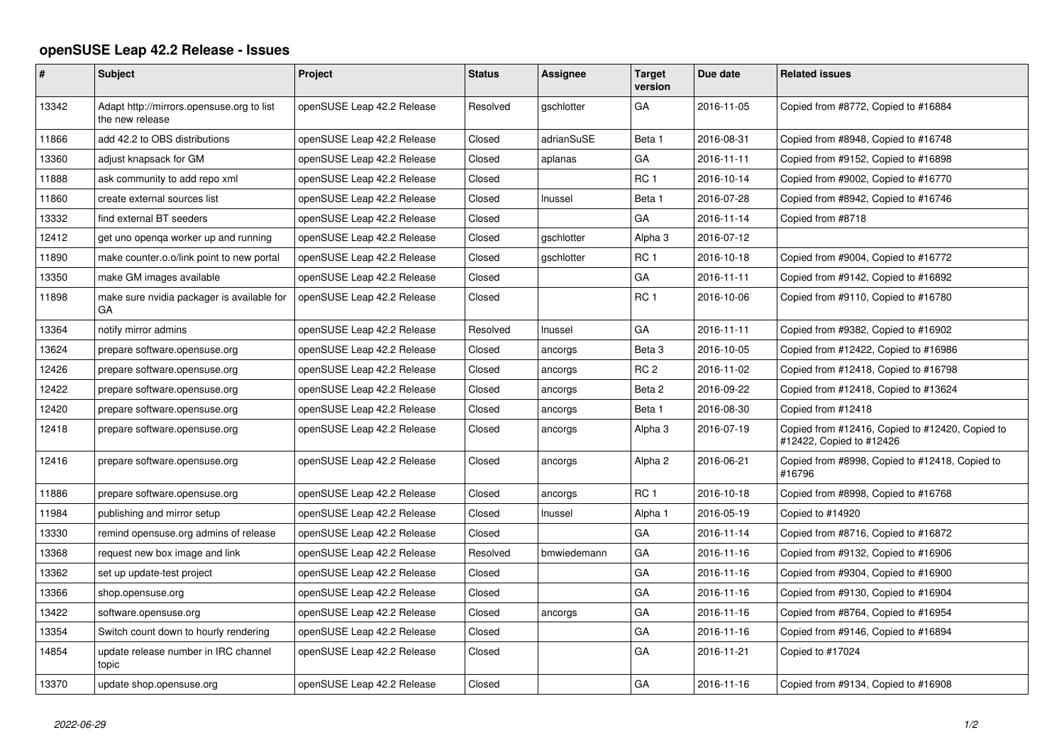## **openSUSE Leap 42.2 Release - Issues**

| #     | <b>Subject</b>                                               | Project                    | <b>Status</b> | Assignee          | <b>Target</b><br>version | Due date   | <b>Related issues</b>                                                       |
|-------|--------------------------------------------------------------|----------------------------|---------------|-------------------|--------------------------|------------|-----------------------------------------------------------------------------|
| 13342 | Adapt http://mirrors.opensuse.org to list<br>the new release | openSUSE Leap 42.2 Release | Resolved      | gschlotter        | GA                       | 2016-11-05 | Copied from #8772, Copied to #16884                                         |
| 11866 | add 42.2 to OBS distributions                                | openSUSE Leap 42.2 Release | Closed        | adrianSuSE        | Beta 1                   | 2016-08-31 | Copied from #8948, Copied to #16748                                         |
| 13360 | adjust knapsack for GM                                       | openSUSE Leap 42.2 Release | Closed        | aplanas           | GA                       | 2016-11-11 | Copied from #9152, Copied to #16898                                         |
| 11888 | ask community to add repo xml                                | openSUSE Leap 42.2 Release | Closed        |                   | RC <sub>1</sub>          | 2016-10-14 | Copied from #9002, Copied to #16770                                         |
| 11860 | create external sources list                                 | openSUSE Leap 42.2 Release | Closed        | Inussel           | Beta 1                   | 2016-07-28 | Copied from #8942, Copied to #16746                                         |
| 13332 | find external BT seeders                                     | openSUSE Leap 42.2 Release | Closed        |                   | GA                       | 2016-11-14 | Copied from #8718                                                           |
| 12412 | get uno openga worker up and running                         | openSUSE Leap 42.2 Release | Closed        | <i>aschlotter</i> | Alpha 3                  | 2016-07-12 |                                                                             |
| 11890 | make counter.o.o/link point to new portal                    | openSUSE Leap 42.2 Release | Closed        | gschlotter        | RC <sub>1</sub>          | 2016-10-18 | Copied from #9004, Copied to #16772                                         |
| 13350 | make GM images available                                     | openSUSE Leap 42.2 Release | Closed        |                   | GA                       | 2016-11-11 | Copied from #9142, Copied to #16892                                         |
| 11898 | make sure nvidia packager is available for<br>GА             | openSUSE Leap 42.2 Release | Closed        |                   | RC <sub>1</sub>          | 2016-10-06 | Copied from #9110, Copied to #16780                                         |
| 13364 | notify mirror admins                                         | openSUSE Leap 42.2 Release | Resolved      | Inussel           | GA                       | 2016-11-11 | Copied from #9382, Copied to #16902                                         |
| 13624 | prepare software.opensuse.org                                | openSUSE Leap 42.2 Release | Closed        | ancorgs           | Beta <sub>3</sub>        | 2016-10-05 | Copied from #12422, Copied to #16986                                        |
| 12426 | prepare software.opensuse.org                                | openSUSE Leap 42.2 Release | Closed        | ancorgs           | RC <sub>2</sub>          | 2016-11-02 | Copied from #12418, Copied to #16798                                        |
| 12422 | prepare software.opensuse.org                                | openSUSE Leap 42.2 Release | Closed        | ancorgs           | Beta 2                   | 2016-09-22 | Copied from #12418, Copied to #13624                                        |
| 12420 | prepare software.opensuse.org                                | openSUSE Leap 42.2 Release | Closed        | ancorgs           | Beta 1                   | 2016-08-30 | Copied from #12418                                                          |
| 12418 | prepare software.opensuse.org                                | openSUSE Leap 42.2 Release | Closed        | ancorgs           | Alpha <sub>3</sub>       | 2016-07-19 | Copied from #12416, Copied to #12420, Copied to<br>#12422, Copied to #12426 |
| 12416 | prepare software.opensuse.org                                | openSUSE Leap 42.2 Release | Closed        | ancorgs           | Alpha <sub>2</sub>       | 2016-06-21 | Copied from #8998, Copied to #12418, Copied to<br>#16796                    |
| 11886 | prepare software.opensuse.org                                | openSUSE Leap 42.2 Release | Closed        | ancorgs           | RC <sub>1</sub>          | 2016-10-18 | Copied from #8998, Copied to #16768                                         |
| 11984 | publishing and mirror setup                                  | openSUSE Leap 42.2 Release | Closed        | Inussel           | Alpha 1                  | 2016-05-19 | Copied to #14920                                                            |
| 13330 | remind opensuse.org admins of release                        | openSUSE Leap 42.2 Release | Closed        |                   | GA                       | 2016-11-14 | Copied from #8716, Copied to #16872                                         |
| 13368 | request new box image and link                               | openSUSE Leap 42.2 Release | Resolved      | bmwiedemann       | GA                       | 2016-11-16 | Copied from #9132, Copied to #16906                                         |
| 13362 | set up update-test project                                   | openSUSE Leap 42.2 Release | Closed        |                   | GA                       | 2016-11-16 | Copied from #9304, Copied to #16900                                         |
| 13366 | shop.opensuse.org                                            | openSUSE Leap 42.2 Release | Closed        |                   | GA                       | 2016-11-16 | Copied from #9130, Copied to #16904                                         |
| 13422 | software.opensuse.org                                        | openSUSE Leap 42.2 Release | Closed        | ancorgs           | GA                       | 2016-11-16 | Copied from #8764, Copied to #16954                                         |
| 13354 | Switch count down to hourly rendering                        | openSUSE Leap 42.2 Release | Closed        |                   | GA                       | 2016-11-16 | Copied from #9146, Copied to #16894                                         |
| 14854 | update release number in IRC channel<br>topic                | openSUSE Leap 42.2 Release | Closed        |                   | GA                       | 2016-11-21 | Copied to #17024                                                            |
| 13370 | update shop.opensuse.org                                     | openSUSE Leap 42.2 Release | Closed        |                   | GA                       | 2016-11-16 | Copied from #9134, Copied to #16908                                         |